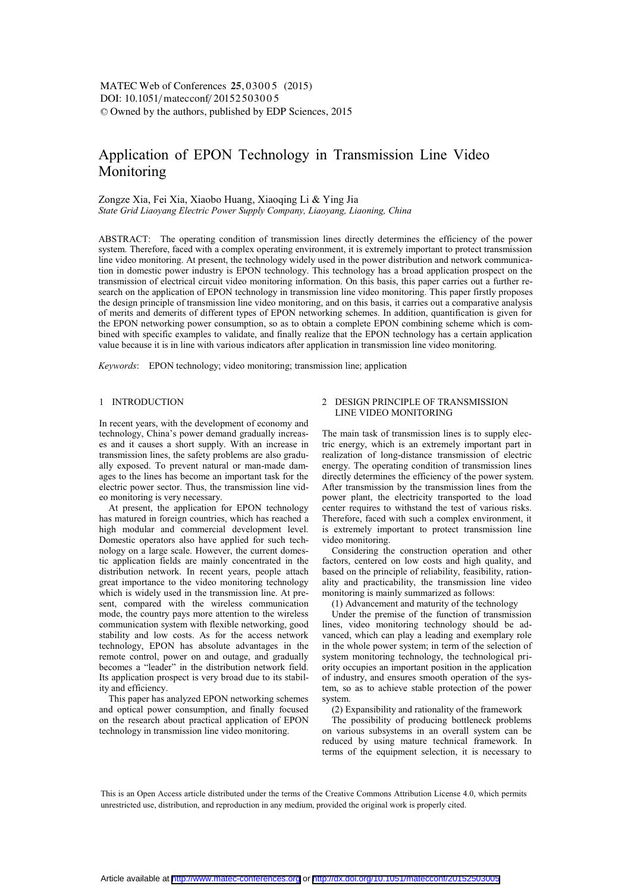# Application of EPON Technology in Transmission Line Video Monitoring

## Zongze Xia, Fei Xia, Xiaobo Huang, Xiaoqing Li & Ying Jia *State Grid Liaoyang Electric Power Supply Company, Liaoyang, Liaoning, China*

ABSTRACT: The operating condition of transmission lines directly determines the efficiency of the power system. Therefore, faced with a complex operating environment, it is extremely important to protect transmission line video monitoring. At present, the technology widely used in the power distribution and network communication in domestic power industry is EPON technology. This technology has a broad application prospect on the transmission of electrical circuit video monitoring information. On this basis, this paper carries out a further research on the application of EPON technology in transmission line video monitoring. This paper firstly proposes the design principle of transmission line video monitoring, and on this basis, it carries out a comparative analysis of merits and demerits of different types of EPON networking schemes. In addition, quantification is given for the EPON networking power consumption, so as to obtain a complete EPON combining scheme which is combined with specific examples to validate, and finally realize that the EPON technology has a certain application value because it is in line with various indicators after application in transmission line video monitoring.

*Keywords*: EPON technology; video monitoring; transmission line; application

# 1 INTRODUCTION

In recent years, with the development of economy and technology, China's power demand gradually increases and it causes a short supply. With an increase in transmission lines, the safety problems are also gradually exposed. To prevent natural or man-made damages to the lines has become an important task for the electric power sector. Thus, the transmission line video monitoring is very necessary.

At present, the application for EPON technology has matured in foreign countries, which has reached a high modular and commercial development level. Domestic operators also have applied for such technology on a large scale. However, the current domestic application fields are mainly concentrated in the distribution network. In recent years, people attach great importance to the video monitoring technology which is widely used in the transmission line. At present, compared with the wireless communication mode, the country pays more attention to the wireless communication system with flexible networking, good stability and low costs. As for the access network technology, EPON has absolute advantages in the remote control, power on and outage, and gradually becomes a "leader" in the distribution network field. Its application prospect is very broad due to its stability and efficiency.

This paper has analyzed EPON networking schemes and optical power consumption, and finally focused on the research about practical application of EPON technology in transmission line video monitoring.

# 2 DESIGN PRINCIPLE OF TRANSMISSION LINE VIDEO MONITORING

The main task of transmission lines is to supply electric energy, which is an extremely important part in realization of long-distance transmission of electric energy. The operating condition of transmission lines directly determines the efficiency of the power system. After transmission by the transmission lines from the power plant, the electricity transported to the load center requires to withstand the test of various risks. Therefore, faced with such a complex environment, it is extremely important to protect transmission line video monitoring.

Considering the construction operation and other factors, centered on low costs and high quality, and based on the principle of reliability, feasibility, rationality and practicability, the transmission line video monitoring is mainly summarized as follows:

(1) Advancement and maturity of the technology

Under the premise of the function of transmission lines, video monitoring technology should be advanced, which can play a leading and exemplary role in the whole power system; in term of the selection of system monitoring technology, the technological priority occupies an important position in the application of industry, and ensures smooth operation of the system, so as to achieve stable protection of the power system.

(2) Expansibility and rationality of the framework

The possibility of producing bottleneck problems on various subsystems in an overall system can be reduced by using mature technical framework. In terms of the equipment selection, it is necessary to

This is an Open Access article distributed under the terms of the Creative Commons Attribution License 4.0, which permits unrestricted use, distribution, and reproduction in any medium, provided the original work is properly cited.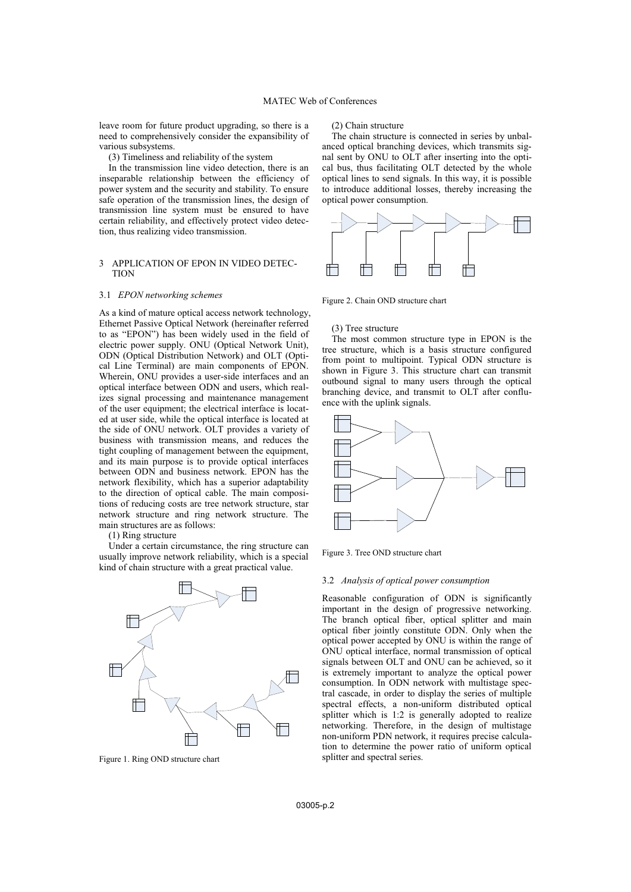leave room for future product upgrading, so there is a need to comprehensively consider the expansibility of various subsystems.

(3) Timeliness and reliability of the system

In the transmission line video detection, there is an inseparable relationship between the efficiency of power system and the security and stability. To ensure safe operation of the transmission lines, the design of transmission line system must be ensured to have certain reliability, and effectively protect video detection, thus realizing video transmission.

# 3 APPLICATION OF EPON IN VIDEO DETEC-TION

## 3.1 *EPON networking schemes*

As a kind of mature optical access network technology, Ethernet Passive Optical Network (hereinafter referred to as "EPON") has been widely used in the field of electric power supply. ONU (Optical Network Unit), ODN (Optical Distribution Network) and OLT (Optical Line Terminal) are main components of EPON. Wherein, ONU provides a user-side interfaces and an optical interface between ODN and users, which realizes signal processing and maintenance management of the user equipment; the electrical interface is located at user side, while the optical interface is located at the side of ONU network. OLT provides a variety of business with transmission means, and reduces the tight coupling of management between the equipment, and its main purpose is to provide optical interfaces between ODN and business network. EPON has the network flexibility, which has a superior adaptability to the direction of optical cable. The main compositions of reducing costs are tree network structure, star network structure and ring network structure. The main structures are as follows:

(1) Ring structure

Under a certain circumstance, the ring structure can usually improve network reliability, which is a special kind of chain structure with a great practical value.



Figure 1. Ring OND structure chart

(2) Chain structure

The chain structure is connected in series by unbalanced optical branching devices, which transmits signal sent by ONU to OLT after inserting into the optical bus, thus facilitating OLT detected by the whole optical lines to send signals. In this way, it is possible to introduce additional losses, thereby increasing the optical power consumption.



Figure 2. Chain OND structure chart

#### (3) Tree structure

The most common structure type in EPON is the tree structure, which is a basis structure configured from point to multipoint. Typical ODN structure is shown in Figure 3. This structure chart can transmit outbound signal to many users through the optical branching device, and transmit to OLT after confluence with the uplink signals.



Figure 3. Tree OND structure chart

#### 3.2 *Analysis of optical power consumption*

Reasonable configuration of ODN is significantly important in the design of progressive networking. The branch optical fiber, optical splitter and main optical fiber jointly constitute ODN. Only when the optical power accepted by ONU is within the range of ONU optical interface, normal transmission of optical signals between OLT and ONU can be achieved, so it is extremely important to analyze the optical power consumption. In ODN network with multistage spectral cascade, in order to display the series of multiple spectral effects, a non-uniform distributed optical splitter which is 1:2 is generally adopted to realize networking. Therefore, in the design of multistage non-uniform PDN network, it requires precise calculation to determine the power ratio of uniform optical splitter and spectral series.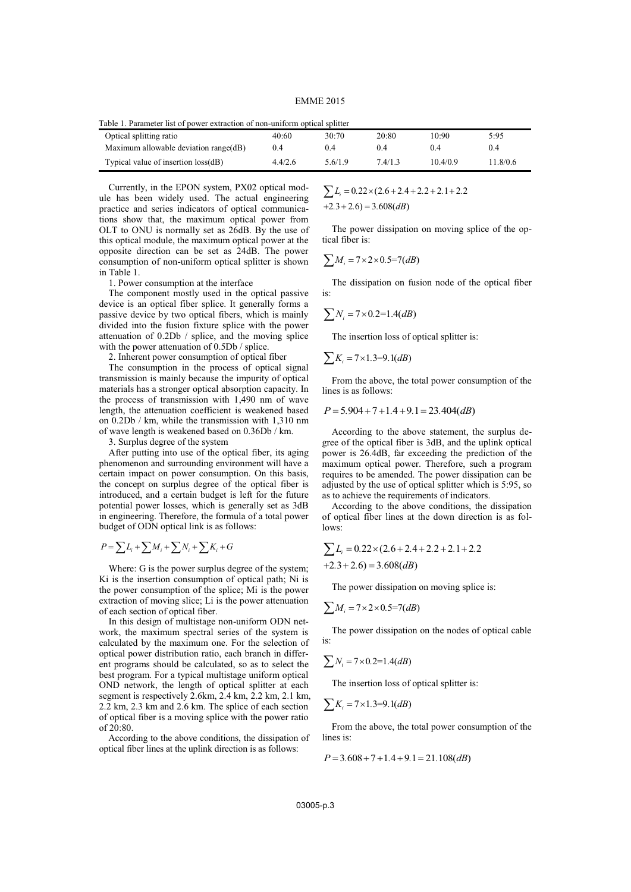EMME 2015

| Table 1. Parameter list of power extraction of non-uniform optical splitter |         |         |       |        |          |  |  |
|-----------------------------------------------------------------------------|---------|---------|-------|--------|----------|--|--|
| Optical splitting ratio                                                     | 40:60   | 30.70   | 20:80 | 10:90  | 5:95     |  |  |
| Maximum allowable deviation range(dB)                                       | 0.4     | 0.4     | 0.4   | 04     | 0.4      |  |  |
| Typical value of insertion loss(dB)                                         | 4.4/2.6 | 5.6/1.9 | 74/13 | 104/09 | 11.8/0.6 |  |  |

Currently, in the EPON system, PX02 optical module has been widely used. The actual engineering practice and series indicators of optical communications show that, the maximum optical power from OLT to ONU is normally set as 26dB. By the use of this optical module, the maximum optical power at the opposite direction can be set as 24dB. The power consumption of non-uniform optical splitter is shown in Table 1.

1. Power consumption at the interface

The component mostly used in the optical passive device is an optical fiber splice. It generally forms a passive device by two optical fibers, which is mainly divided into the fusion fixture splice with the power attenuation of 0.2Db / splice, and the moving splice with the power attenuation of 0.5Db / splice.

2. Inherent power consumption of optical fiber

The consumption in the process of optical signal transmission is mainly because the impurity of optical materials has a stronger optical absorption capacity. In the process of transmission with 1,490 nm of wave length, the attenuation coefficient is weakened based on 0.2Db / km, while the transmission with 1,310 nm of wave length is weakened based on 0.36Db / km.

3. Surplus degree of the system

After putting into use of the optical fiber, its aging phenomenon and surrounding environment will have a certain impact on power consumption. On this basis, the concept on surplus degree of the optical fiber is introduced, and a certain budget is left for the future potential power losses, which is generally set as 3dB in engineering. Therefore, the formula of a total power budget of ODN optical link is as follows:

$$
P = \sum L_i + \sum M_i + \sum N_i + \sum K_i + G
$$

Where: G is the power surplus degree of the system; Ki is the insertion consumption of optical path; Ni is the power consumption of the splice; Mi is the power extraction of moving slice; Li is the power attenuation of each section of optical fiber.

In this design of multistage non-uniform ODN network, the maximum spectral series of the system is calculated by the maximum one. For the selection of optical power distribution ratio, each branch in different programs should be calculated, so as to select the best program. For a typical multistage uniform optical OND network, the length of optical splitter at each segment is respectively 2.6km, 2.4 km, 2.2 km, 2.1 km, 2.2 km, 2.3 km and 2.6 km. The splice of each section of optical fiber is a moving splice with the power ratio of 20:80.

According to the above conditions, the dissipation of optical fiber lines at the uplink direction is as follows:

 $\sum L_i = 0.22 \times (2.6 + 2.4 + 2.2 + 2.1 + 2.2$  $+2.3 + 2.6 = 3.608$ (*dB*)

The power dissipation on moving splice of the optical fiber is:

$$
\sum M_i = 7 \times 2 \times 0.5 = 7(dB)
$$

The dissipation on fusion node of the optical fiber is:

$$
\sum N_i = 7 \times 0.2 = 1.4 (dB)
$$

The insertion loss of optical splitter is:

$$
\sum K_i = 7 \times 1.3 = 9.1 (dB)
$$

From the above, the total power consumption of the lines is as follows:

$$
P = 5.904 + 7 + 1.4 + 9.1 = 23.404(dB)
$$

According to the above statement, the surplus degree of the optical fiber is 3dB, and the uplink optical power is 26.4dB, far exceeding the prediction of the maximum optical power. Therefore, such a program requires to be amended. The power dissipation can be adjusted by the use of optical splitter which is 5:95, so as to achieve the requirements of indicators.

According to the above conditions, the dissipation of optical fiber lines at the down direction is as follows:

$$
\sum L_i = 0.22 \times (2.6 + 2.4 + 2.2 + 2.1 + 2.2 + 2.1 + 2.2 + 2.6) = 3.608(dB)
$$

The power dissipation on moving splice is:

$$
\sum M_i = 7 \times 2 \times 0.5 = 7(d)B
$$

The power dissipation on the nodes of optical cable is:

$$
\sum N_i = 7 \times 0.2 = 1.4 (dB)
$$

The insertion loss of optical splitter is:

$$
\sum K_i = 7 \times 1.3 = 9.1(dB)
$$

From the above, the total power consumption of the lines is:

$$
P = 3.608 + 7 + 1.4 + 9.1 = 21.108(dB)
$$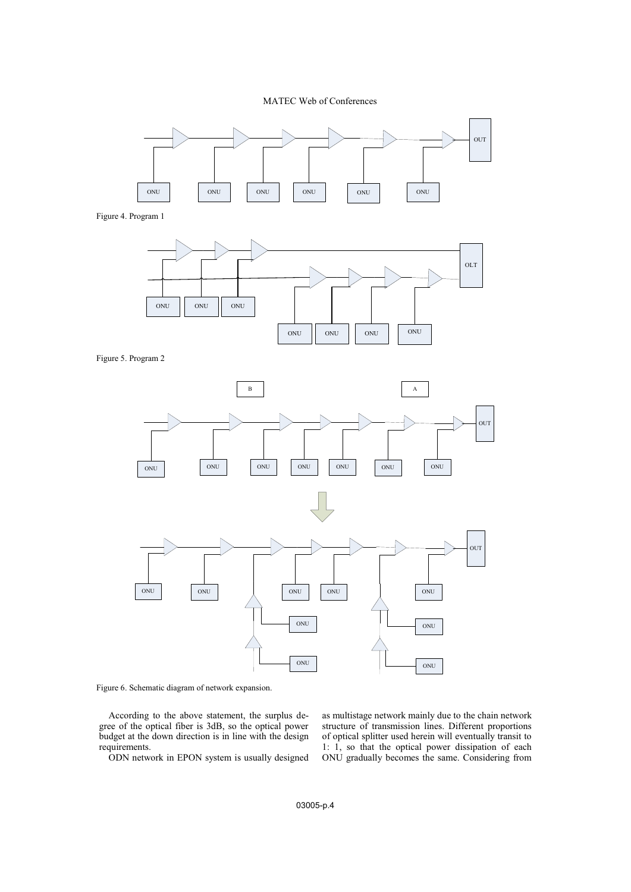# MATEC Web of Conferences



Figure 4. Program 1



Figure 5. Program 2



Figure 6. Schematic diagram of network expansion.

According to the above statement, the surplus degree of the optical fiber is 3dB, so the optical power budget at the down direction is in line with the design requirements.

ODN network in EPON system is usually designed

as multistage network mainly due to the chain network structure of transmission lines. Different proportions of optical splitter used herein will eventually transit to 1: 1, so that the optical power dissipation of each ONU gradually becomes the same. Considering from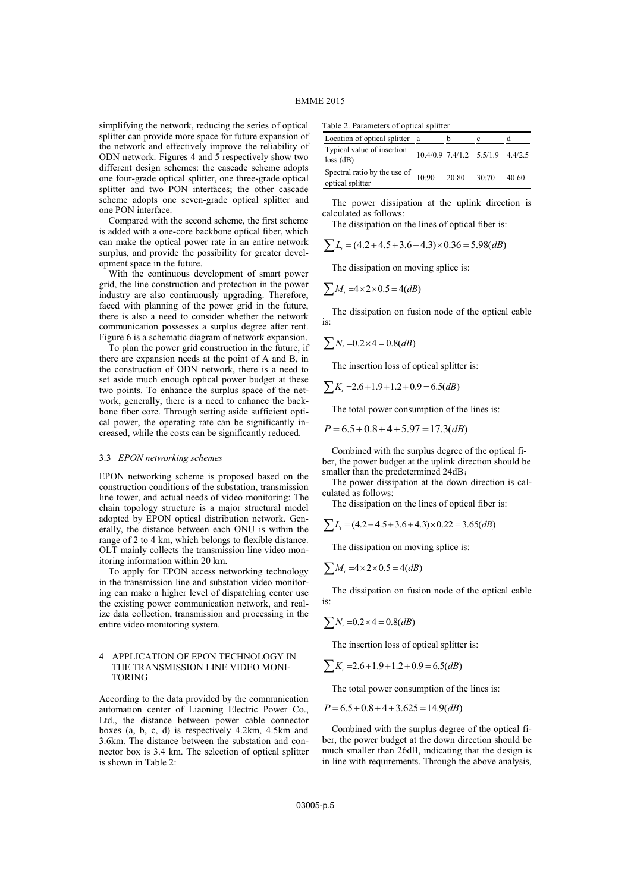simplifying the network, reducing the series of optical splitter can provide more space for future expansion of the network and effectively improve the reliability of ODN network. Figures 4 and 5 respectively show two different design schemes: the cascade scheme adopts one four-grade optical splitter, one three-grade optical splitter and two PON interfaces; the other cascade scheme adopts one seven-grade optical splitter and one PON interface.

Compared with the second scheme, the first scheme is added with a one-core backbone optical fiber, which can make the optical power rate in an entire network surplus, and provide the possibility for greater development space in the future.

With the continuous development of smart power grid, the line construction and protection in the power industry are also continuously upgrading. Therefore, faced with planning of the power grid in the future, there is also a need to consider whether the network communication possesses a surplus degree after rent. Figure 6 is a schematic diagram of network expansion.

To plan the power grid construction in the future, if there are expansion needs at the point of A and B, in the construction of ODN network, there is a need to set aside much enough optical power budget at these two points. To enhance the surplus space of the network, generally, there is a need to enhance the backbone fiber core. Through setting aside sufficient optical power, the operating rate can be significantly increased, while the costs can be significantly reduced.

## 3.3 *EPON networking schemes*

EPON networking scheme is proposed based on the construction conditions of the substation, transmission line tower, and actual needs of video monitoring: The chain topology structure is a major structural model adopted by EPON optical distribution network. Generally, the distance between each ONU is within the range of 2 to 4 km, which belongs to flexible distance. OLT mainly collects the transmission line video monitoring information within 20 km.

To apply for EPON access networking technology in the transmission line and substation video monitoring can make a higher level of dispatching center use the existing power communication network, and realize data collection, transmission and processing in the entire video monitoring system.

## 4 APPLICATION OF EPON TECHNOLOGY IN THE TRANSMISSION LINE VIDEO MONI-TORING

According to the data provided by the communication automation center of Liaoning Electric Power Co., Ltd., the distance between power cable connector boxes (a, b, c, d) is respectively 4.2km, 4.5km and 3.6km. The distance between the substation and connector box is 3.4 km. The selection of optical splitter is shown in Table 2:

Table 2. Parameters of optical splitter

| Location of optical splitter a                           |       |                                      |       |
|----------------------------------------------------------|-------|--------------------------------------|-------|
| Typical value of insertion<br>$loss$ (dB)                |       | $10.4/0.9$ 7.4/1.2 $5.5/1.9$ 4.4/2.5 |       |
| Spectral ratio by the use of $10:90$<br>optical splitter | 20.80 | 30:70                                | 40:60 |

The power dissipation at the uplink direction is calculated as follows:

The dissipation on the lines of optical fiber is:

 $\sum L_i = (4.2 + 4.5 + 3.6 + 4.3) \times 0.36 = 5.98(dB)$ 

The dissipation on moving splice is:

$$
\sum M_i = 4 \times 2 \times 0.5 = 4(d)
$$

The dissipation on fusion node of the optical cable  $i_{s}$ 

$$
\sum N_i = 0.2 \times 4 = 0.8 (dB)
$$

The insertion loss of optical splitter is:

$$
\sum K_i = 2.6 + 1.9 + 1.2 + 0.9 = 6.5 (dB)
$$

The total power consumption of the lines is:

$$
P = 6.5 + 0.8 + 4 + 5.97 = 17.3 (dB)
$$

Combined with the surplus degree of the optical fiber, the power budget at the uplink direction should be smaller than the predetermined 24dB;

The power dissipation at the down direction is calculated as follows:

The dissipation on the lines of optical fiber is:

$$
\sum L_i = (4.2 + 4.5 + 3.6 + 4.3) \times 0.22 = 3.65 (dB)
$$

The dissipation on moving splice is:

$$
\sum M_i = 4 \times 2 \times 0.5 = 4(d)
$$

The dissipation on fusion node of the optical cable is:

$$
\sum N_i = 0.2 \times 4 = 0.8 (dB)
$$

The insertion loss of optical splitter is:

$$
\sum K_i = 2.6 + 1.9 + 1.2 + 0.9 = 6.5 (dB)
$$

The total power consumption of the lines is:

$$
P = 6.5 + 0.8 + 4 + 3.625 = 14.9(dB)
$$

Combined with the surplus degree of the optical fiber, the power budget at the down direction should be much smaller than 26dB, indicating that the design is in line with requirements. Through the above analysis,